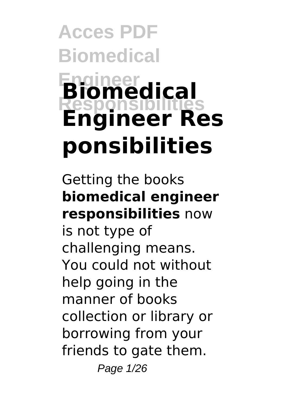# **Acces PDF Biomedical Engineer Responsibilities Biomedical Engineer Res ponsibilities**

Getting the books **biomedical engineer responsibilities** now is not type of challenging means. You could not without help going in the manner of books collection or library or borrowing from your friends to gate them. Page 1/26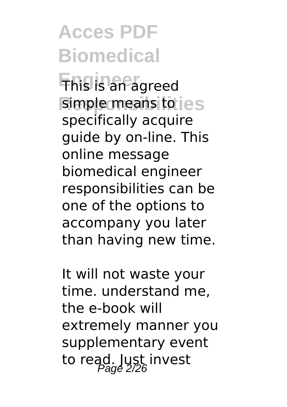**Engineer** This is an agreed simple means to  $ies$ specifically acquire guide by on-line. This online message biomedical engineer responsibilities can be one of the options to accompany you later than having new time.

It will not waste your time. understand me, the e-book will extremely manner you supplementary event to read. Just invest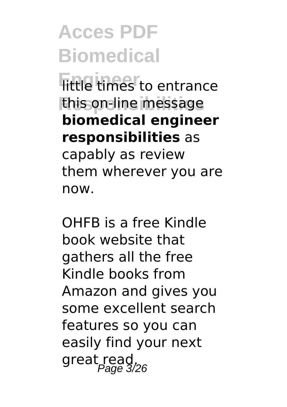**Fittle times** to entrance **Responsibilities** this on-line message **biomedical engineer responsibilities** as capably as review them wherever you are now.

OHFB is a free Kindle book website that gathers all the free Kindle books from Amazon and gives you some excellent search features so you can easily find your next great read.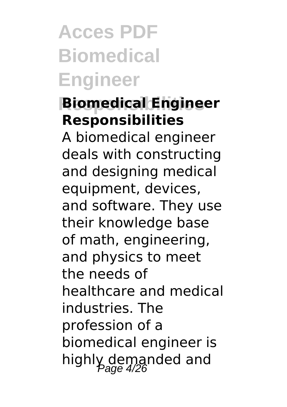## **Acces PDF Biomedical Engineer**

### **Responsibilities Biomedical Engineer Responsibilities**

A biomedical engineer deals with constructing and designing medical equipment, devices, and software. They use their knowledge base of math, engineering, and physics to meet the needs of healthcare and medical industries. The profession of a biomedical engineer is highly demanded and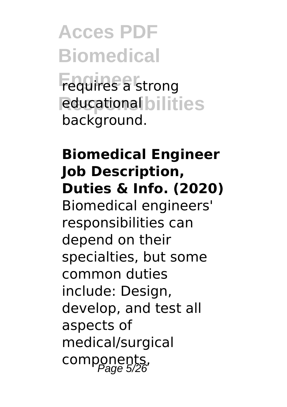**Acces PDF Biomedical Engineer** requires a strong **Responsibilities** educational background.

### **Biomedical Engineer Job Description, Duties & Info. (2020)** Biomedical engineers' responsibilities can depend on their specialties, but some common duties include: Design, develop, and test all aspects of medical/surgical components,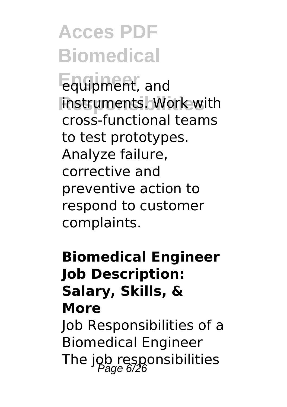**Engineer** equipment, and **instruments. Work with** cross-functional teams to test prototypes. Analyze failure, corrective and preventive action to respond to customer complaints.

### **Biomedical Engineer Job Description: Salary, Skills, & More**

Job Responsibilities of a Biomedical Engineer The job responsibilities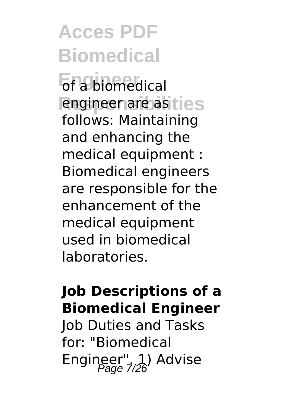**Enabiomedical** engineer are as ties follows: Maintaining and enhancing the medical equipment : Biomedical engineers are responsible for the enhancement of the medical equipment used in biomedical laboratories.

### **Job Descriptions of a Biomedical Engineer**

Job Duties and Tasks for: "Biomedical Engineer", 1) Advise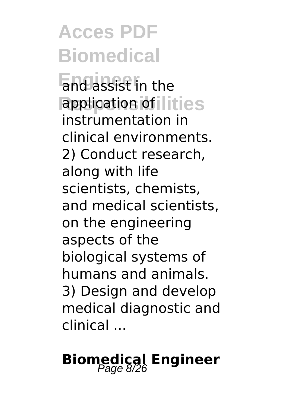**Endlassist** in the application of lities instrumentation in clinical environments. 2) Conduct research, along with life scientists, chemists, and medical scientists, on the engineering aspects of the biological systems of humans and animals. 3) Design and develop medical diagnostic and clinical ...

## **Biomedical Engineer**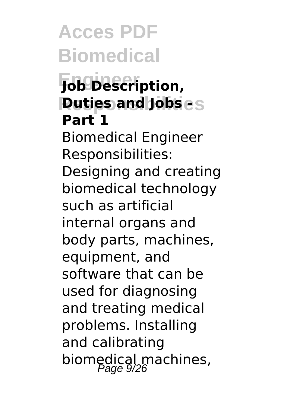### **Acces PDF Biomedical Engineer Job Description, Puties and Jobs - S Part 1** Biomedical Engineer Responsibilities: Designing and creating biomedical technology such as artificial internal organs and body parts, machines, equipment, and software that can be used for diagnosing and treating medical problems. Installing and calibrating biomedical machines,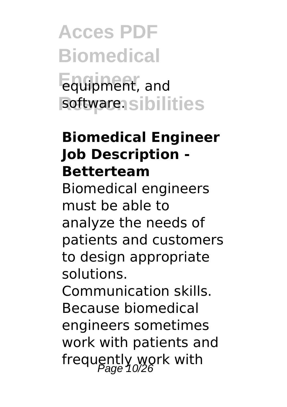**Acces PDF Biomedical Engineer** equipment, and software.sibilities

#### **Biomedical Engineer Job Description - Betterteam**

Biomedical engineers must be able to analyze the needs of patients and customers to design appropriate solutions.

Communication skills. Because biomedical engineers sometimes work with patients and frequently work with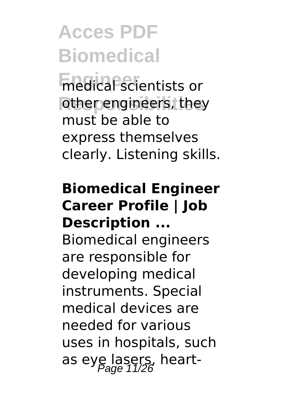**Enedical scientists or** other engineers, they must be able to express themselves clearly. Listening skills.

### **Biomedical Engineer Career Profile | Job Description ...**

Biomedical engineers are responsible for developing medical instruments. Special medical devices are needed for various uses in hospitals, such as eye lasers, heart-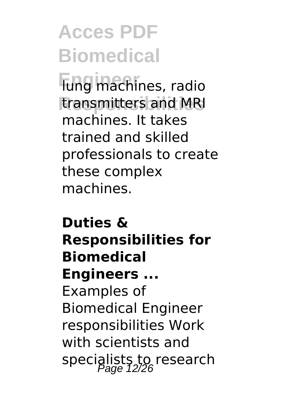**Engineer** lung machines, radio **Responsibilities** transmitters and MRI machines. It takes trained and skilled professionals to create these complex machines.

### **Duties & Responsibilities for Biomedical Engineers ...** Examples of Biomedical Engineer responsibilities Work with scientists and specialists to research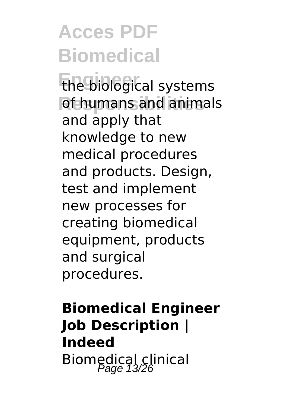**Engineer** the biological systems **Responsibilities** of humans and animals and apply that knowledge to new medical procedures and products. Design, test and implement new processes for creating biomedical equipment, products and surgical procedures.

### **Biomedical Engineer Job Description | Indeed** Biomedical clinical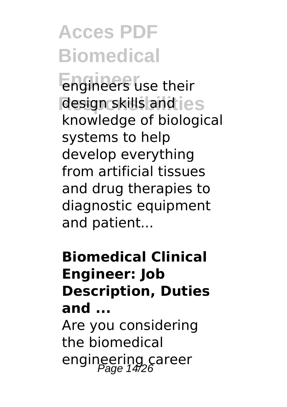**Engineer** engineers use their design skills and  $\textsf{ies}$ knowledge of biological systems to help develop everything from artificial tissues and drug therapies to diagnostic equipment and patient...

### **Biomedical Clinical Engineer: Job Description, Duties and ...**

Are you considering the biomedical engineering career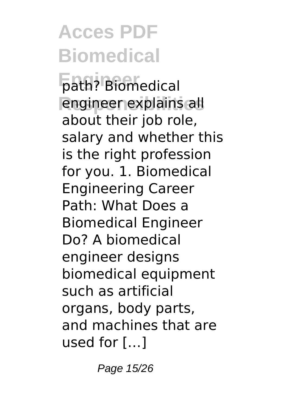**Engineer** path? Biomedical **Responsibilities** engineer explains all about their job role, salary and whether this is the right profession for you. 1. Biomedical Engineering Career Path: What Does a Biomedical Engineer Do? A biomedical engineer designs biomedical equipment such as artificial organs, body parts, and machines that are used for […]

Page 15/26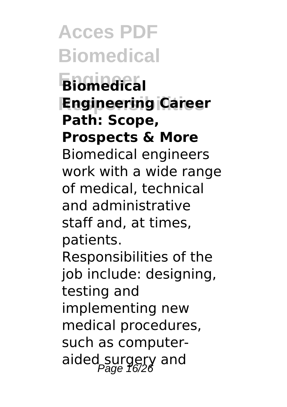**Acces PDF Biomedical Engineer Biomedical Responsibilities Engineering Career Path: Scope, Prospects & More** Biomedical engineers work with a wide range of medical, technical and administrative staff and, at times, patients. Responsibilities of the job include: designing, testing and implementing new medical procedures, such as computeraided surgery and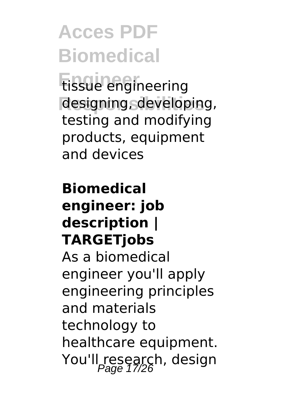**Engineer** tissue engineering designing, developing, testing and modifying products, equipment and devices

### **Biomedical engineer: job description | TARGETjobs** As a biomedical engineer you'll apply engineering principles and materials

technology to healthcare equipment. You'll research, design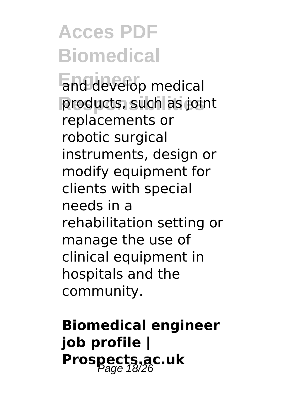**End develop medical** products, such as joint replacements or robotic surgical instruments, design or modify equipment for clients with special needs in a rehabilitation setting or manage the use of clinical equipment in hospitals and the community.

**Biomedical engineer job profile | Prospects.ac.uk** Page 18/26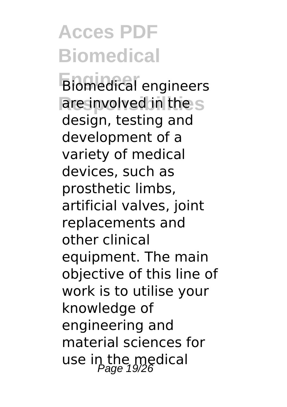**Engineer** Biomedical engineers are involved in the s design, testing and development of a variety of medical devices, such as prosthetic limbs, artificial valves, joint replacements and other clinical equipment. The main objective of this line of work is to utilise your knowledge of engineering and material sciences for use in the medical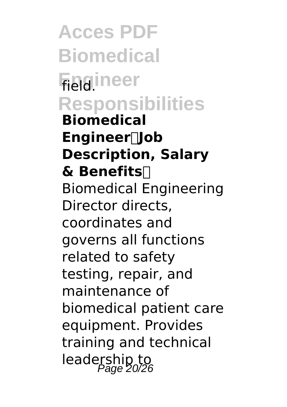**Acces PDF Biomedical Field**.ineer **Responsibilities Biomedical Engineer【Job Description, Salary & Benefits】** Biomedical Engineering Director directs, coordinates and governs all functions related to safety testing, repair, and maintenance of biomedical patient care equipment. Provides training and technical leadership to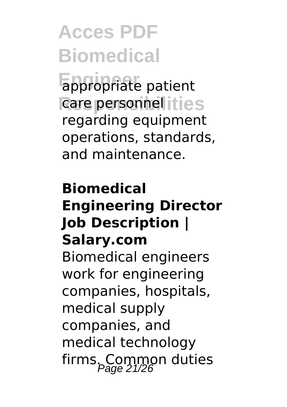**Eppropriate patient** care personnel ities regarding equipment operations, standards, and maintenance.

### **Biomedical Engineering Director Job Description | Salary.com** Biomedical engineers work for engineering companies, hospitals, medical supply companies, and medical technology firms. Common duties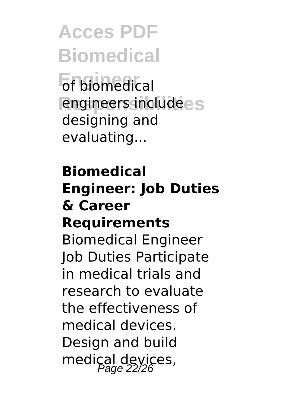**Acces PDF Biomedical Engineer** of biomedical **Responsibilities** engineers include designing and evaluating...

### **Biomedical Engineer: Job Duties & Career Requirements**

Biomedical Engineer Job Duties Participate in medical trials and research to evaluate the effectiveness of medical devices. Design and build medical devices,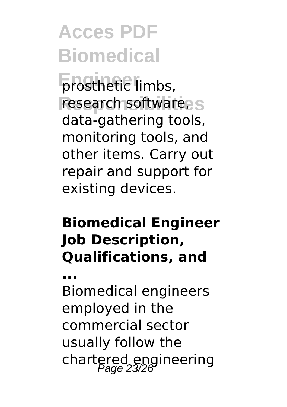**Enginetic limbs,** research software, s data-gathering tools, monitoring tools, and other items. Carry out repair and support for existing devices.

### **Biomedical Engineer Job Description, Qualifications, and**

**...**

Biomedical engineers employed in the commercial sector usually follow the chartered engineering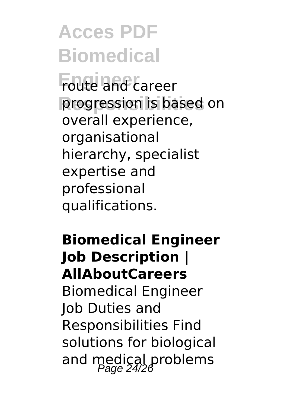**Foute and career** progression is based on overall experience, organisational hierarchy, specialist expertise and professional qualifications.

### **Biomedical Engineer Job Description | AllAboutCareers**

Biomedical Engineer Job Duties and Responsibilities Find solutions for biological and medical problems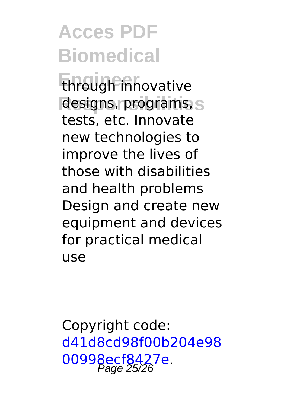**Engineer** through innovative designs, programs, s tests, etc. Innovate new technologies to improve the lives of those with disabilities and health problems Design and create new equipment and devices for practical medical use

Copyright code: [d41d8cd98f00b204e98](/sitemap.xml) [00998ecf8427e.](/sitemap.xml) Page 25/26